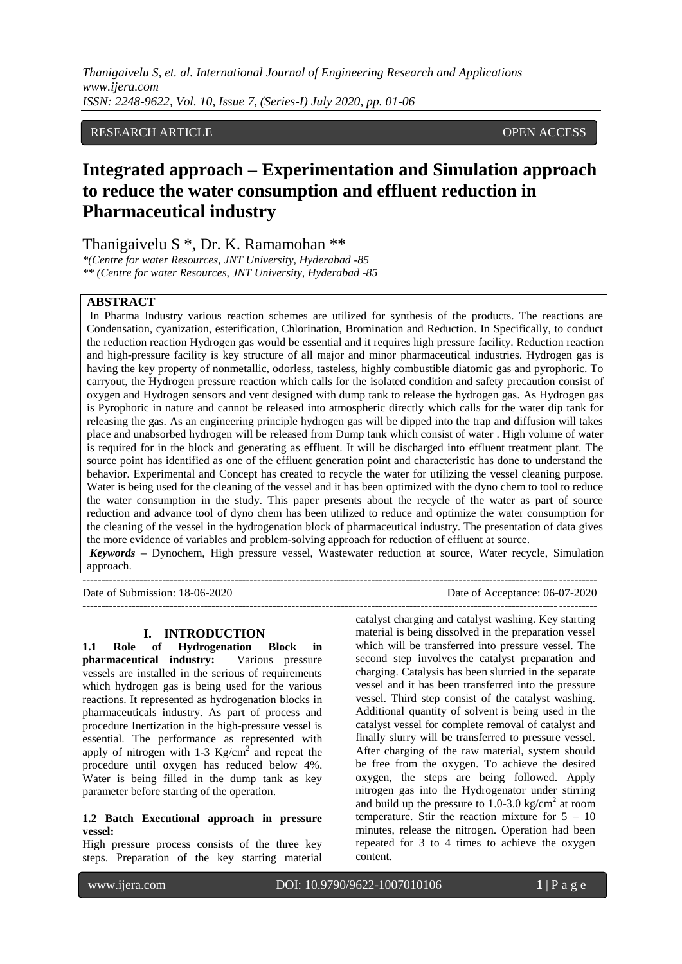# RESEARCH ARTICLE OPEN ACCESS

# **Integrated approach – Experimentation and Simulation approach to reduce the water consumption and effluent reduction in Pharmaceutical industry**

Thanigaivelu S \*, Dr. K. Ramamohan \*\*

*\*(Centre for water Resources, JNT University, Hyderabad -85 \*\* (Centre for water Resources, JNT University, Hyderabad -85*

# **ABSTRACT**

In Pharma Industry various reaction schemes are utilized for synthesis of the products. The reactions are Condensation, cyanization, esterification, Chlorination, Bromination and Reduction. In Specifically, to conduct the reduction reaction Hydrogen gas would be essential and it requires high pressure facility. Reduction reaction and high-pressure facility is key structure of all major and minor pharmaceutical industries. Hydrogen gas is having the key property of nonmetallic, odorless, tasteless, highly combustible diatomic gas and pyrophoric. To carryout, the Hydrogen pressure reaction which calls for the isolated condition and safety precaution consist of oxygen and Hydrogen sensors and vent designed with dump tank to release the hydrogen gas. As Hydrogen gas is Pyrophoric in nature and cannot be released into atmospheric directly which calls for the water dip tank for releasing the gas. As an engineering principle hydrogen gas will be dipped into the trap and diffusion will takes place and unabsorbed hydrogen will be released from Dump tank which consist of water . High volume of water is required for in the block and generating as effluent. It will be discharged into effluent treatment plant. The source point has identified as one of the effluent generation point and characteristic has done to understand the behavior. Experimental and Concept has created to recycle the water for utilizing the vessel cleaning purpose. Water is being used for the cleaning of the vessel and it has been optimized with the dyno chem to tool to reduce the water consumption in the study. This paper presents about the recycle of the water as part of source reduction and advance tool of dyno chem has been utilized to reduce and optimize the water consumption for the cleaning of the vessel in the hydrogenation block of pharmaceutical industry. The presentation of data gives the more evidence of variables and problem-solving approach for reduction of effluent at source. *Keywords* **–** Dynochem, High pressure vessel, Wastewater reduction at source, Water recycle, Simulation approach.

---------------------------------------------------------------------------------------------------------------------------------------

---------------------------------------------------------------------------------------------------------------------------------------

Date of Submission: 18-06-2020 Date of Acceptance: 06-07-2020

### **I. INTRODUCTION**

**1.1 Role of Hydrogenation Block in pharmaceutical industry:** Various pressure vessels are installed in the serious of requirements which hydrogen gas is being used for the various reactions. It represented as hydrogenation blocks in pharmaceuticals industry. As part of process and procedure Inertization in the high-pressure vessel is essential. The performance as represented with apply of nitrogen with  $1-3$  Kg/cm<sup>2</sup> and repeat the procedure until oxygen has reduced below 4%. Water is being filled in the dump tank as key parameter before starting of the operation.

# **1.2 Batch Executional approach in pressure vessel:**

High pressure process consists of the three key steps. Preparation of the key starting material

catalyst charging and catalyst washing. Key starting material is being dissolved in the preparation vessel which will be transferred into pressure vessel. The second step involves the catalyst preparation and charging. Catalysis has been slurried in the separate vessel and it has been transferred into the pressure vessel. Third step consist of the catalyst washing. Additional quantity of solvent is being used in the catalyst vessel for complete removal of catalyst and finally slurry will be transferred to pressure vessel. After charging of the raw material, system should be free from the oxygen. To achieve the desired oxygen, the steps are being followed. Apply nitrogen gas into the Hydrogenator under stirring and build up the pressure to  $1.0$ -3.0 kg/cm<sup>2</sup> at room temperature. Stir the reaction mixture for  $5 - 10$ minutes, release the nitrogen. Operation had been repeated for 3 to 4 times to achieve the oxygen content.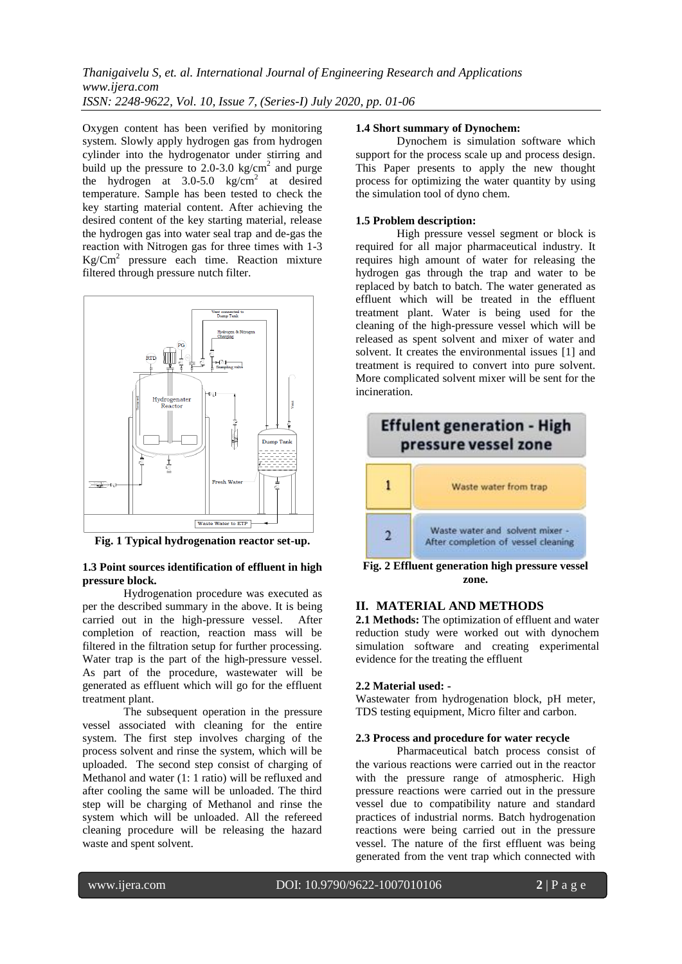Oxygen content has been verified by monitoring system. Slowly apply hydrogen gas from hydrogen cylinder into the hydrogenator under stirring and build up the pressure to 2.0-3.0  $\text{kg/cm}^2$  and purge the hydrogen at  $3.0-5.0$  kg/cm<sup>2</sup> at desired temperature. Sample has been tested to check the key starting material content. After achieving the desired content of the key starting material, release the hydrogen gas into water seal trap and de-gas the reaction with Nitrogen gas for three times with 1-3  $\text{Kg/cm}^2$  pressure each time. Reaction mixture filtered through pressure nutch filter.



**Fig. 1 Typical hydrogenation reactor set-up.**

# **1.3 Point sources identification of effluent in high pressure block.**

Hydrogenation procedure was executed as per the described summary in the above. It is being carried out in the high-pressure vessel. After completion of reaction, reaction mass will be filtered in the filtration setup for further processing. Water trap is the part of the high-pressure vessel. As part of the procedure, wastewater will be generated as effluent which will go for the effluent treatment plant.

The subsequent operation in the pressure vessel associated with cleaning for the entire system. The first step involves charging of the process solvent and rinse the system, which will be uploaded. The second step consist of charging of Methanol and water (1: 1 ratio) will be refluxed and after cooling the same will be unloaded. The third step will be charging of Methanol and rinse the system which will be unloaded. All the refereed cleaning procedure will be releasing the hazard waste and spent solvent.

### **1.4 Short summary of Dynochem:**

Dynochem is simulation software which support for the process scale up and process design. This Paper presents to apply the new thought process for optimizing the water quantity by using the simulation tool of dyno chem.

### **1.5 Problem description:**

High pressure vessel segment or block is required for all major pharmaceutical industry. It requires high amount of water for releasing the hydrogen gas through the trap and water to be replaced by batch to batch. The water generated as effluent which will be treated in the effluent treatment plant. Water is being used for the cleaning of the high-pressure vessel which will be released as spent solvent and mixer of water and solvent. It creates the environmental issues [1] and treatment is required to convert into pure solvent. More complicated solvent mixer will be sent for the incineration.



**Fig. 2 Effluent generation high pressure vessel zone.**

# **II. MATERIAL AND METHODS**

**2.1 Methods:** The optimization of effluent and water reduction study were worked out with dynochem simulation software and creating experimental evidence for the treating the effluent

## **2.2 Material used: -**

Wastewater from hydrogenation block, pH meter, TDS testing equipment, Micro filter and carbon.

## **2.3 Process and procedure for water recycle**

Pharmaceutical batch process consist of the various reactions were carried out in the reactor with the pressure range of atmospheric. High pressure reactions were carried out in the pressure vessel due to compatibility nature and standard practices of industrial norms. Batch hydrogenation reactions were being carried out in the pressure vessel. The nature of the first effluent was being generated from the vent trap which connected with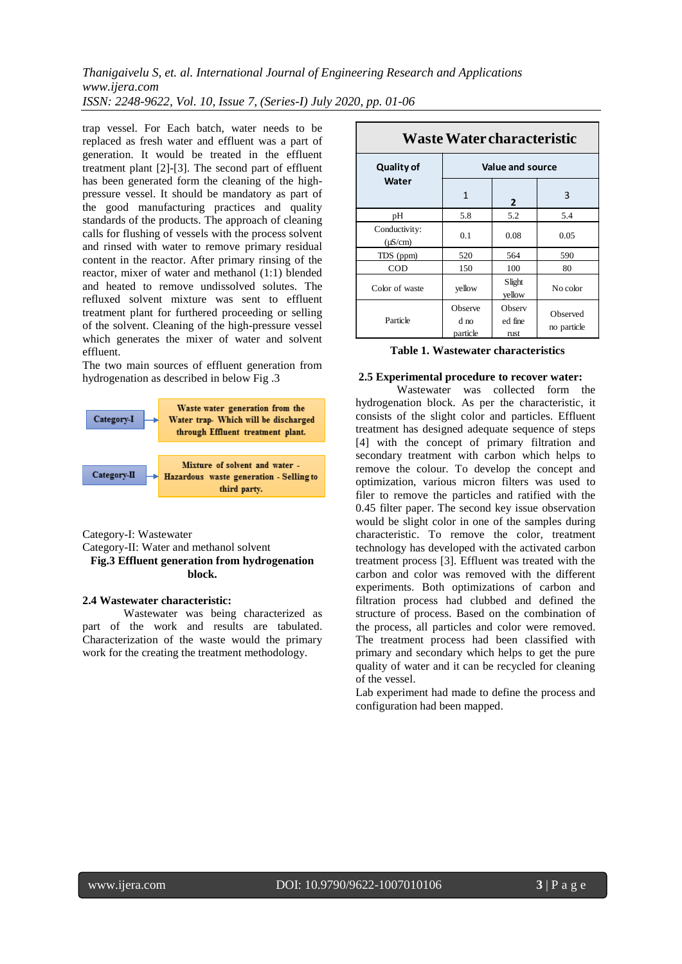trap vessel. For Each batch, water needs to be replaced as fresh water and effluent was a part of generation. It would be treated in the effluent treatment plant [2]-[3]. The second part of effluent has been generated form the cleaning of the highpressure vessel. It should be mandatory as part of the good manufacturing practices and quality standards of the products. The approach of cleaning calls for flushing of vessels with the process solvent and rinsed with water to remove primary residual content in the reactor. After primary rinsing of the reactor, mixer of water and methanol (1:1) blended and heated to remove undissolved solutes. The refluxed solvent mixture was sent to effluent treatment plant for furthered proceeding or selling of the solvent. Cleaning of the high-pressure vessel which generates the mixer of water and solvent effluent.

The two main sources of effluent generation from hydrogenation as described in below Fig .3



Category-I: Wastewater

Category-II: Water and methanol solvent

# **Fig.3 Effluent generation from hydrogenation block.**

# **2.4 Wastewater characteristic:**

Wastewater was being characterized as part of the work and results are tabulated. Characterization of the waste would the primary work for the creating the treatment methodology.

| <b>Waste Water characteristic</b> |                             |                                  |                         |  |  |
|-----------------------------------|-----------------------------|----------------------------------|-------------------------|--|--|
| Quality of                        | Value and source            |                                  |                         |  |  |
| Water                             | 1                           | 2                                | 3                       |  |  |
| pН                                | 5.8                         | 5.2                              | 5.4                     |  |  |
| Conductivity:<br>$(\mu S/cm)$     | 0.1                         | 0.08                             | 0.05                    |  |  |
| TDS (ppm)                         | 520                         | 564                              | 590                     |  |  |
| COD                               | 150                         | 100                              | 80                      |  |  |
| Color of waste                    | yellow                      | Slight<br>yellow                 | No color                |  |  |
| Particle                          | Observe<br>d no<br>particle | Observ<br>ed fine<br><b>rust</b> | Observed<br>no particle |  |  |

**Table 1. Wastewater characteristics**

#### **2.5 Experimental procedure to recover water:**

Wastewater was collected form the hydrogenation block. As per the characteristic, it consists of the slight color and particles. Effluent treatment has designed adequate sequence of steps [4] with the concept of primary filtration and secondary treatment with carbon which helps to remove the colour. To develop the concept and optimization, various micron filters was used to filer to remove the particles and ratified with the 0.45 filter paper. The second key issue observation would be slight color in one of the samples during characteristic. To remove the color, treatment technology has developed with the activated carbon treatment process [3]. Effluent was treated with the carbon and color was removed with the different experiments. Both optimizations of carbon and filtration process had clubbed and defined the structure of process. Based on the combination of the process, all particles and color were removed. The treatment process had been classified with primary and secondary which helps to get the pure quality of water and it can be recycled for cleaning of the vessel.

Lab experiment had made to define the process and configuration had been mapped.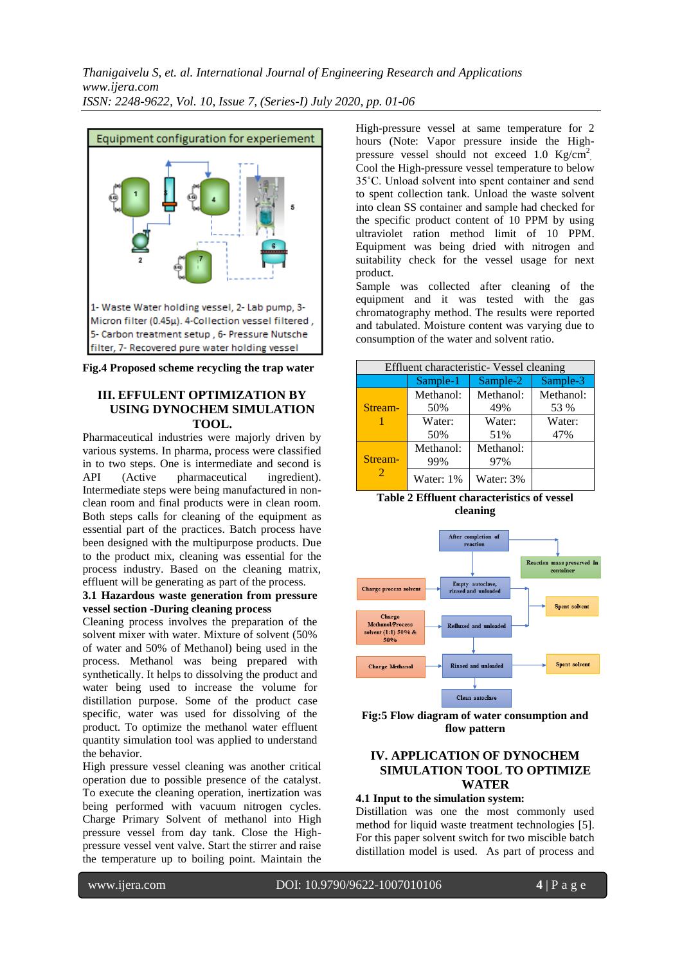



# **III. EFFULENT OPTIMIZATION BY USING DYNOCHEM SIMULATION TOOL.**

Pharmaceutical industries were majorly driven by various systems. In pharma, process were classified in to two steps. One is intermediate and second is<br>API (Active pharmaceutical ingredient). (Active pharmaceutical ingredient). Intermediate steps were being manufactured in nonclean room and final products were in clean room. Both steps calls for cleaning of the equipment as essential part of the practices. Batch process have been designed with the multipurpose products. Due to the product mix, cleaning was essential for the process industry. Based on the cleaning matrix, effluent will be generating as part of the process.

# **3.1 Hazardous waste generation from pressure vessel section -During cleaning process**

Cleaning process involves the preparation of the solvent mixer with water. Mixture of solvent (50% of water and 50% of Methanol) being used in the process. Methanol was being prepared with synthetically. It helps to dissolving the product and water being used to increase the volume for distillation purpose. Some of the product case specific, water was used for dissolving of the product. To optimize the methanol water effluent quantity simulation tool was applied to understand the behavior.

High pressure vessel cleaning was another critical operation due to possible presence of the catalyst. To execute the cleaning operation, inertization was being performed with vacuum nitrogen cycles. Charge Primary Solvent of methanol into High pressure vessel from day tank. Close the Highpressure vessel vent valve. Start the stirrer and raise the temperature up to boiling point. Maintain the

High-pressure vessel at same temperature for 2 hours (Note: Vapor pressure inside the Highpressure vessel should not exceed 1.0  $\text{Kg/cm}^2$ . Cool the High-pressure vessel temperature to below 35˚C. Unload solvent into spent container and send to spent collection tank. Unload the waste solvent into clean SS container and sample had checked for the specific product content of 10 PPM by using ultraviolet ration method limit of 10 PPM. Equipment was being dried with nitrogen and suitability check for the vessel usage for next product.

Sample was collected after cleaning of the equipment and it was tested with the gas chromatography method. The results were reported and tabulated. Moisture content was varying due to consumption of the water and solvent ratio.

| Effluent characteristic- Vessel cleaning |           |           |           |  |  |
|------------------------------------------|-----------|-----------|-----------|--|--|
|                                          | Sample-1  | Sample-2  | Sample-3  |  |  |
|                                          | Methanol: | Methanol: | Methanol: |  |  |
| Stream-                                  | 50%       | 49%       | 53 %      |  |  |
|                                          | Water:    | Water:    | Water:    |  |  |
|                                          | 50%       | 51%       | 47%       |  |  |
|                                          | Methanol: | Methanol: |           |  |  |
| Stream-                                  | 99%       | 97%       |           |  |  |
| 2                                        | Water: 1% | Water: 3% |           |  |  |





**Fig:5 Flow diagram of water consumption and flow pattern**

# **IV. APPLICATION OF DYNOCHEM SIMULATION TOOL TO OPTIMIZE WATER**

# **4.1 Input to the simulation system:**

Distillation was one the most commonly used method for liquid waste treatment technologies [5]. For this paper solvent switch for two miscible batch distillation model is used. As part of process and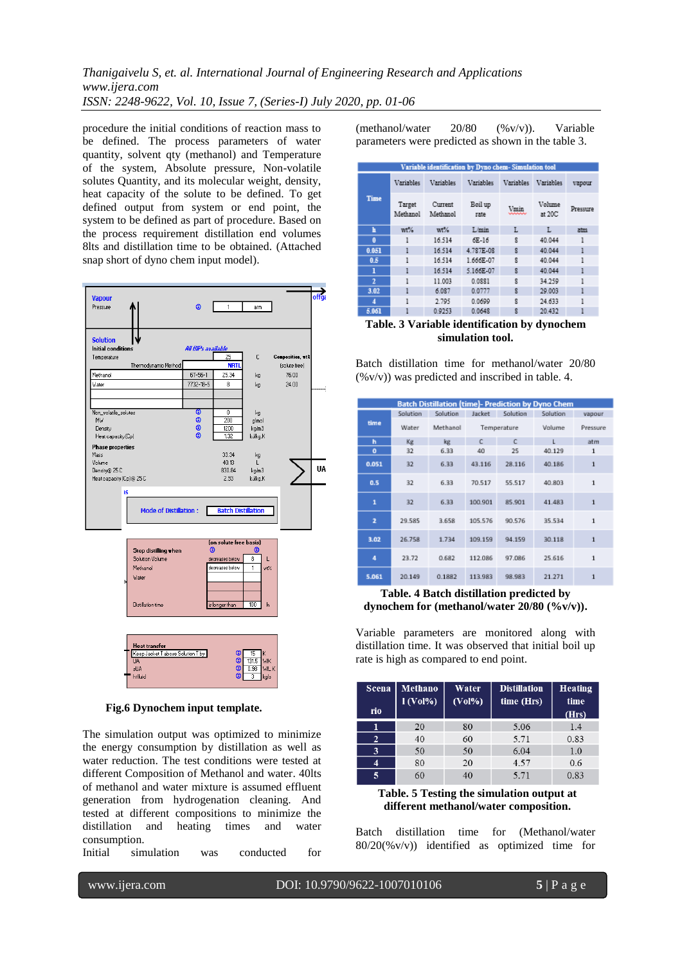procedure the initial conditions of reaction mass to be defined. The process parameters of water quantity, solvent qty (methanol) and Temperature of the system, Absolute pressure, Non-volatile solutes Quantity, and its molecular weight, density, heat capacity of the solute to be defined. To get defined output from system or end point, the system to be defined as part of procedure. Based on the process requirement distillation end volumes 8lts and distillation time to be obtained. (Attached snap short of dyno chem input model).



 **Fig.6 Dynochem input template.**

The simulation output was optimized to minimize the energy consumption by distillation as well as water reduction. The test conditions were tested at different Composition of Methanol and water. 40lts of methanol and water mixture is assumed effluent generation from hydrogenation cleaning. And tested at different compositions to minimize the distillation and heating times and water consumption.

Initial simulation was conducted for

(methanol/water 20/80 (%v/v)). Variable parameters were predicted as shown in the table 3.

| Variable identification by Dyno chem- Simulation tool |                    |                     |                 |           |                  |          |
|-------------------------------------------------------|--------------------|---------------------|-----------------|-----------|------------------|----------|
|                                                       | Variables          | Variables           | Variables       | Variables | Variables        | vapour   |
| <b>Time</b>                                           | Target<br>Methanol | Current<br>Methanol | Boil up<br>rate | Vmin      | Volume<br>at 20C | Pressure |
| h                                                     | wt%                | wt%                 | L/min           | L         | L                | atm.     |
| ō                                                     | 1                  | 16.514              | 6E-16           | R         | 40.044           | 1        |
| 0.051                                                 | ı                  | 16.514              | 4.787E-08       | R         | 40.044           | ı        |
| 0.5                                                   | 1                  | 16.514              | 1.666E-07       | g         | 40.044           | ı        |
| ı                                                     | ı                  | 16.514              | 5.166E-07       | R         | 40.044           | ı        |
| $\overline{2}$                                        | ı                  | 11.003              | 0.0881          | R         | 34.259           | ı        |
| 3.02                                                  | ı                  | 6.087               | 0.0777          | g         | 29.003           | 1        |
| 4                                                     | ı                  | 2.795               | 0.0699          | R         | 24.633           | ı        |
| 5.061                                                 | 1                  | 0.9253              | 0.0648          | g         | 20.432           | ı        |

# **Table. 3 Variable identification by dynochem simulation tool.**

Batch distillation time for methanol/water 20/80  $(\%v/v)$  was predicted and inscribed in table. 4.

| <b>Batch Distillation (time)- Prediction by Dyno Chem</b> |          |          |             |          |          |              |
|-----------------------------------------------------------|----------|----------|-------------|----------|----------|--------------|
|                                                           | Solution | Solution | Jacket      | Solution | Solution | vapour       |
| time                                                      | Water    | Methanol | Temperature |          | Volume   | Pressure     |
| h                                                         | Kg       | kg       | c           | c        | L        | atm          |
| $\bf{o}$                                                  | 32       | 6.33     | 40          | 25       | 40.129   | 1            |
| 0.051                                                     | 32       | 6.33     | 43.116      | 28.116   | 40.186   | $\mathbf{1}$ |
| 0.5                                                       | 32       | 6.33     | 70.517      | 55.517   | 40.803   | $\mathbf{1}$ |
| 1                                                         | 32       | 6.33     | 100.901     | 85.901   | 41.483   | 1            |
| $\overline{2}$                                            | 29.585   | 3.658    | 105.576     | 90.576   | 35.534   | $\mathbf{1}$ |
| 3.02                                                      | 26.758   | 1.734    | 109.159     | 94.159   | 30.118   | 1            |
| 4                                                         | 23.72    | 0.682    | 112.086     | 97.086   | 25.616   | $\mathbf{1}$ |
| 5.061                                                     | 20.149   | 0.1882   | 113.983     | 98.983   | 21.271   | 1            |

# **Table. 4 Batch distillation predicted by dynochem for (methanol/water 20/80 (%v/v)).**

Variable parameters are monitored along with distillation time. It was observed that initial boil up rate is high as compared to end point.

| <b>Scena</b><br>rio | Methano<br>$1 (Vol\%)$ | Water<br>$(Vol\%)$ | <b>Distillation</b><br>time (Hrs) | <b>Heating</b><br>time<br>(Hrs) |
|---------------------|------------------------|--------------------|-----------------------------------|---------------------------------|
|                     | 20                     | 80                 | 5.06                              | 1.4                             |
| 2                   | 40                     | 60                 | 5.71                              | 0.83                            |
| 3                   | 50                     | 50                 | 6.04                              | 1.0                             |
| 4                   | 80                     | 20                 | 4.57                              | 0.6                             |
| 5                   | 60                     | 40                 | 5.71                              | 0.83                            |

## **Table. 5 Testing the simulation output at different methanol/water composition.**

Batch distillation time for (Methanol/water 80/20(%v/v)) identified as optimized time for